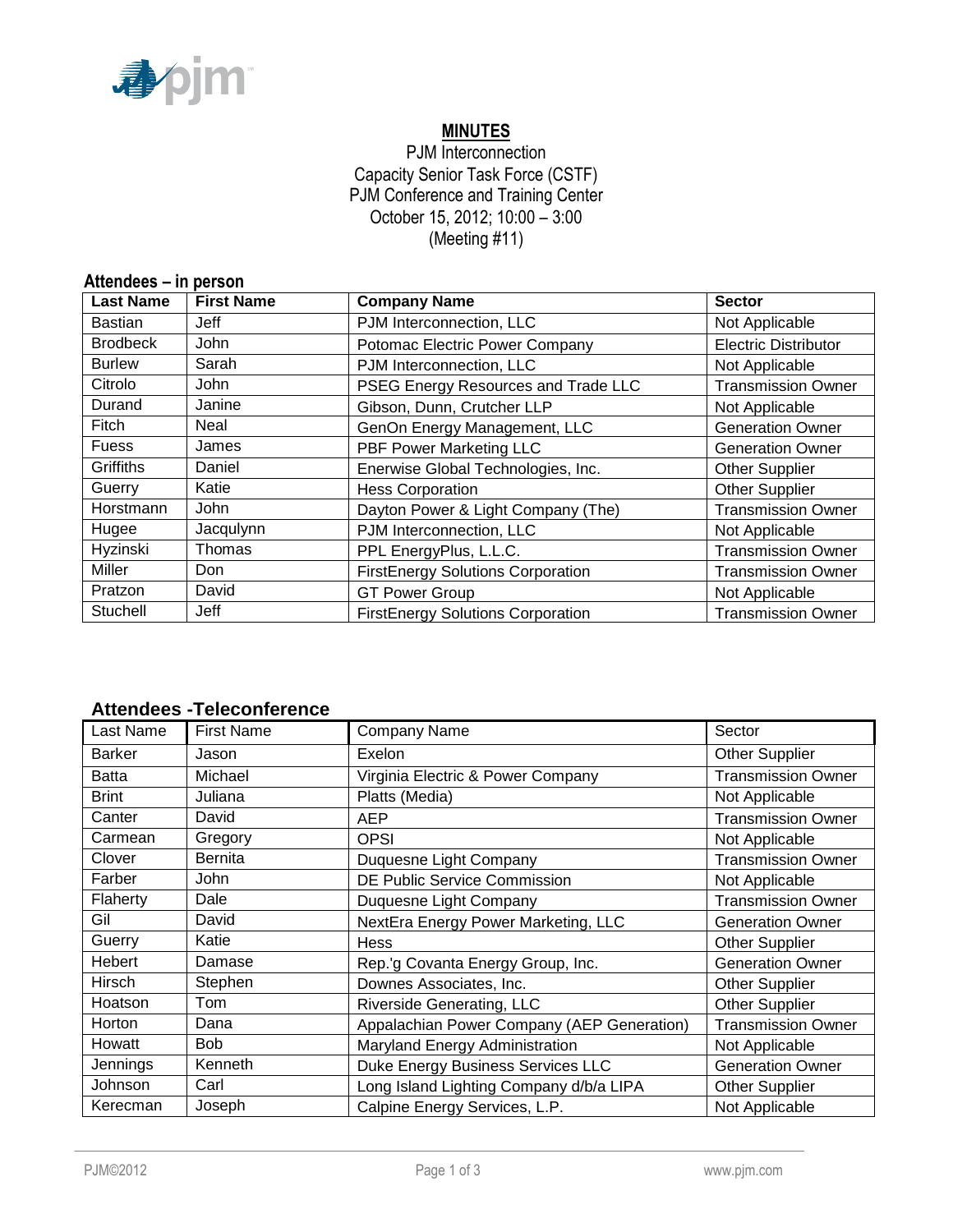

# **MINUTES**

## PJM Interconnection Capacity Senior Task Force (CSTF) PJM Conference and Training Center October 15, 2012; 10:00 – 3:00 (Meeting #11)

| Attendees - in person |                   |                                                                       |                |  |  |
|-----------------------|-------------------|-----------------------------------------------------------------------|----------------|--|--|
| <b>Last Name</b>      | <b>First Name</b> | <b>Company Name</b>                                                   | <b>Sector</b>  |  |  |
| <b>Bastian</b>        | Jeff              | PJM Interconnection, LLC                                              | Not Applicable |  |  |
| <b>Brodbeck</b>       | John              | Potomac Electric Power Company<br><b>Electric Distributor</b>         |                |  |  |
| <b>Burlew</b>         | Sarah             | PJM Interconnection, LLC<br>Not Applicable                            |                |  |  |
| Citrolo               | John              | <b>Transmission Owner</b><br>PSEG Energy Resources and Trade LLC      |                |  |  |
| Durand                | Janine            | Gibson, Dunn, Crutcher LLP<br>Not Applicable                          |                |  |  |
| Fitch                 | Neal              | GenOn Energy Management, LLC<br><b>Generation Owner</b>               |                |  |  |
| <b>Fuess</b>          | James             | <b>PBF Power Marketing LLC</b><br><b>Generation Owner</b>             |                |  |  |
| Griffiths             | Daniel            | Enerwise Global Technologies, Inc.<br><b>Other Supplier</b>           |                |  |  |
| Guerry                | Katie             | Other Supplier<br><b>Hess Corporation</b>                             |                |  |  |
| Horstmann             | John              | Dayton Power & Light Company (The)<br><b>Transmission Owner</b>       |                |  |  |
| Hugee                 | Jacqulynn         | PJM Interconnection, LLC<br>Not Applicable                            |                |  |  |
| Hyzinski              | Thomas            | PPL EnergyPlus, L.L.C.<br><b>Transmission Owner</b>                   |                |  |  |
| Miller                | Don               | <b>FirstEnergy Solutions Corporation</b><br><b>Transmission Owner</b> |                |  |  |
| Pratzon               | David             | <b>GT Power Group</b><br>Not Applicable                               |                |  |  |
| Stuchell              | Jeff              | <b>FirstEnergy Solutions Corporation</b><br><b>Transmission Owner</b> |                |  |  |

## **Attendees -Teleconference**

| Last Name     | <b>First Name</b> | Sector<br>Company Name                                                  |                           |
|---------------|-------------------|-------------------------------------------------------------------------|---------------------------|
| <b>Barker</b> | Jason             | Exelon                                                                  | <b>Other Supplier</b>     |
| <b>Batta</b>  | Michael           | Virginia Electric & Power Company                                       | <b>Transmission Owner</b> |
| <b>Brint</b>  | Juliana           | Platts (Media)                                                          | Not Applicable            |
| Canter        | David             | <b>AEP</b>                                                              | <b>Transmission Owner</b> |
| Carmean       | Gregory           | <b>OPSI</b>                                                             | Not Applicable            |
| Clover        | <b>Bernita</b>    | Duquesne Light Company                                                  | <b>Transmission Owner</b> |
| Farber        | John              | <b>DE Public Service Commission</b><br>Not Applicable                   |                           |
| Flaherty      | Dale              | <b>Transmission Owner</b><br>Duquesne Light Company                     |                           |
| Gil           | David             | NextEra Energy Power Marketing, LLC<br><b>Generation Owner</b>          |                           |
| Guerry        | Katie             | <b>Hess</b><br><b>Other Supplier</b>                                    |                           |
| Hebert        | Damase            | <b>Generation Owner</b><br>Rep.'g Covanta Energy Group, Inc.            |                           |
| Hirsch        | Stephen           | Downes Associates, Inc.<br><b>Other Supplier</b>                        |                           |
| Hoatson       | Tom               | <b>Riverside Generating, LLC</b>                                        | <b>Other Supplier</b>     |
| Horton        | Dana              | Appalachian Power Company (AEP Generation)<br><b>Transmission Owner</b> |                           |
| Howatt        | <b>Bob</b>        | Maryland Energy Administration<br>Not Applicable                        |                           |
| Jennings      | Kenneth           | Duke Energy Business Services LLC<br><b>Generation Owner</b>            |                           |
| Johnson       | Carl              | Long Island Lighting Company d/b/a LIPA<br>Other Supplier               |                           |
| Kerecman      | Joseph            | Calpine Energy Services, L.P.<br>Not Applicable                         |                           |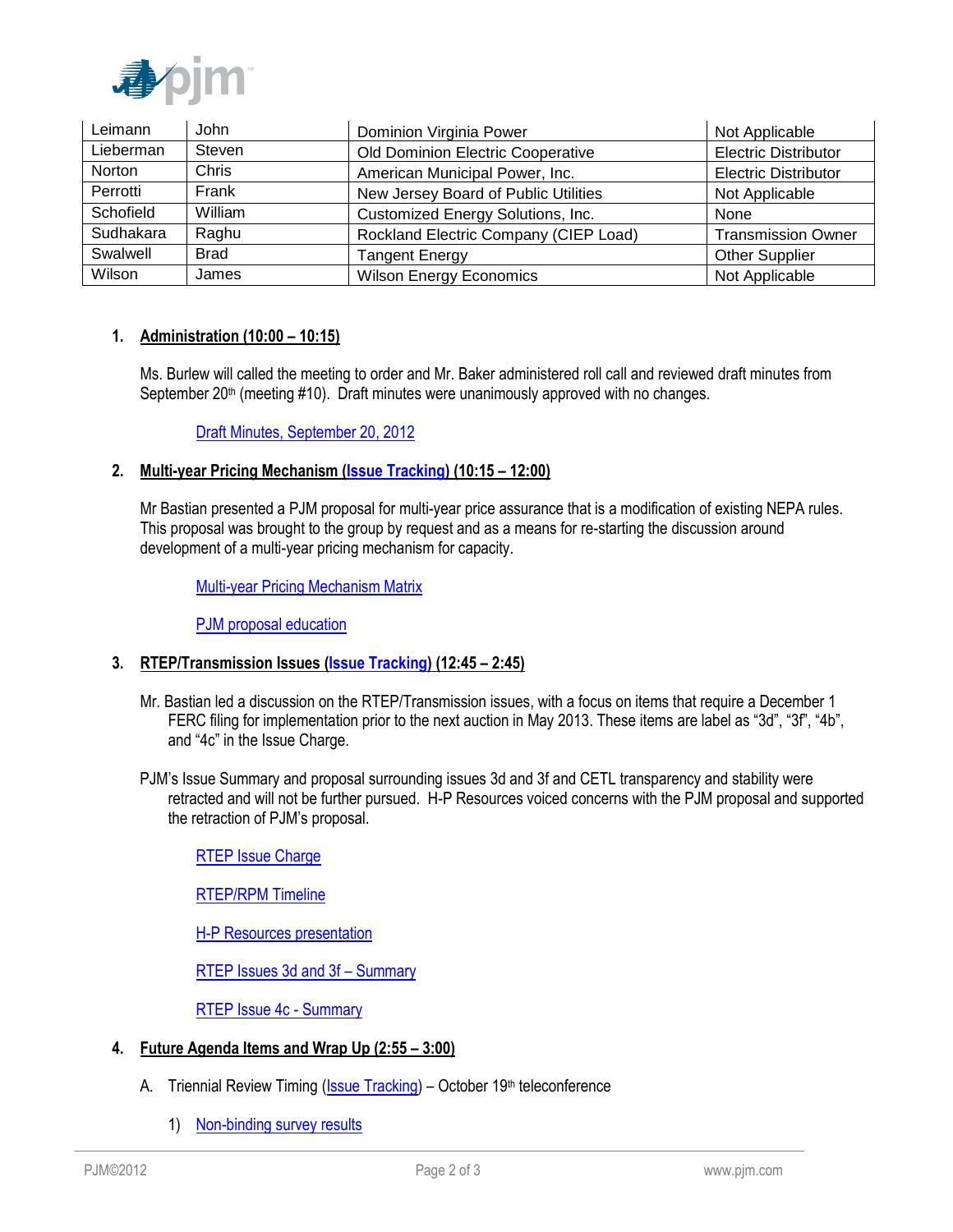

| Leimann   | John        | Dominion Virginia Power<br>Not Applicable                          |  |
|-----------|-------------|--------------------------------------------------------------------|--|
| Lieberman | Steven      | Old Dominion Electric Cooperative<br><b>Electric Distributor</b>   |  |
| Norton    | Chris       | American Municipal Power, Inc.<br><b>Electric Distributor</b>      |  |
| Perrotti  | Frank       | New Jersey Board of Public Utilities<br>Not Applicable             |  |
| Schofield | William     | Customized Energy Solutions, Inc.<br>None                          |  |
| Sudhakara | Raghu       | Rockland Electric Company (CIEP Load)<br><b>Transmission Owner</b> |  |
| Swalwell  | <b>Brad</b> | <b>Other Supplier</b><br><b>Tangent Energy</b>                     |  |
| Wilson    | James       | <b>Wilson Energy Economics</b><br>Not Applicable                   |  |

### **1. Administration (10:00 – 10:15)**

Ms. Burlew will called the meeting to order and Mr. Baker administered roll call and reviewed draft minutes from September  $20<sup>th</sup>$  (meeting #10). Draft minutes were unanimously approved with no changes.

[Draft Minutes, September 20, 2012](http://www.pjm.com/~/media/committees-groups/task-forces/cstf/20121015/20121015-draft-minutes-cstf-20120920.ashx)

### **2. Multi-year Pricing Mechanism [\(Issue Tracking\)](http://www.pjm.com/committees-and-groups/issue-tracking/issue-tracking-details.aspx?Issue=%7bB709F188-450F-4A06-A5EB-BD61B601C9EF%7d) (10:15 – 12:00)**

Mr Bastian presented a PJM proposal for multi-year price assurance that is a modification of existing NEPA rules. This proposal was brought to the group by request and as a means for re-starting the discussion around development of a multi-year pricing mechanism for capacity.

[Multi-year Pricing Mechanism Matrix](http://www.pjm.com/~/media/committees-groups/task-forces/cstf/20121015/20121015-item-02-multi-year-pricing-matrix.ashx)

[PJM proposal education](http://www.pjm.com/~/media/committees-groups/task-forces/cstf/20121015/20121015-item-02-pjm-proposal.ashx)

### **3. RTEP/Transmission Issues [\(Issue Tracking\)](http://www.pjm.com/committees-and-groups/issue-tracking/issue-tracking-details.aspx?Issue=%7bBB8F79E5-1004-41BD-9AC0-BB59FF349CA8%7d) (12:45 – 2:45)**

- Mr. Bastian led a discussion on the RTEP/Transmission issues, with a focus on items that require a December 1 FERC filing for implementation prior to the next auction in May 2013. These items are label as "3d", "3f", "4b", and "4c" in the Issue Charge.
- PJM's Issue Summary and proposal surrounding issues 3d and 3f and CETL transparency and stability were retracted and will not be further pursued. H-P Resources voiced concerns with the PJM proposal and supported the retraction of PJM's proposal.

[RTEP Issue Charge](http://www.pjm.com/~/media/committees-groups/task-forces/cstf/20120920/20120920-item-03-rtep-issue-charge.ashx)

[RTEP/RPM Timeline](http://www.pjm.com/~/media/committees-groups/task-forces/cstf/20121015/20121015-item-03-rtep-rpm-timeline.ashx)

[H-P Resources presentation](http://www.pjm.com/~/media/committees-groups/task-forces/cstf/20121015/20121015-item-03-hp-resources-presentation.ashx)

[RTEP Issues 3d and 3f](http://www.pjm.com/~/media/committees-groups/task-forces/cstf/20121015/20121015-item-03-rtep-issue-3d-3f-problem-statement.ashx) – Summary

[RTEP Issue 4c - Summary](http://www.pjm.com/~/media/committees-groups/task-forces/cstf/20121015/20121015-item-03-rtep-issue-4c-problem-statement.ashx) 

- **4. Future Agenda Items and Wrap Up (2:55 – 3:00)**
	- A. Triennial Review Timing [\(Issue Tracking\)](http://www.pjm.com/committees-and-groups/issue-tracking/issue-tracking-details.aspx?Issue=%7b46B1B663-44CF-4541-9403-631413A347B5%7d) October 19th teleconference
		- 1) [Non-binding survey results](http://www.pjm.com/~/media/committees-groups/task-forces/cstf/20121019/20121019-triennial-review-timing-poll-results.ashx)